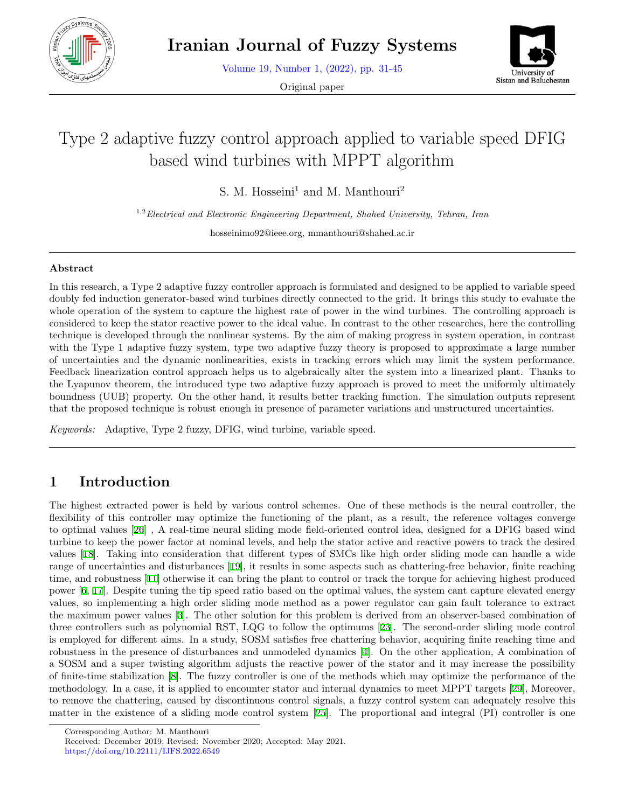

Volume 19, Number 1, (2022), pp. 31-45

Original paper



# Type 2 adaptive fuzzy control approach applied to variable speed DFIG based wind turbines with MPPT algorithm

S. M. Hosseini<sup>1</sup> and M. Manthouri<sup>2</sup>

1,2*Electrical and Electronic Engineering Department, Shahed University, Tehran, Iran*

hosseinimo92@ieee.org, mmanthouri@shahed.ac.ir

#### **Abstract**

In this research, a Type 2 adaptive fuzzy controller approach is formulated and designed to be applied to variable speed doubly fed induction generator-based wind turbines directly connected to the grid. It brings this study to evaluate the whole operation of the system to capture the highest rate of power in the wind turbines. The controlling approach is considered to keep the stator reactive power to the ideal value. In contrast to the other researches, here the controlling technique is developed through the nonlinear systems. By the aim of making progress in system operation, in contrast with the Type 1 adaptive fuzzy system, type two adaptive fuzzy theory is proposed to approximate a large number of uncertainties and the dynamic nonlinearities, exists in tracking errors which may limit the system performance. Feedback linearization control approach helps us to algebraically alter the system into a linearized plant. Thanks to the Lyapunov theorem, the introduced type two adaptive fuzzy approach is proved to meet the uniformly ultimately boundness (UUB) property. On the other hand, it results better tracking function. The simulation outputs represent that the proposed technique is robust enough in presence of parameter variations and unstructured uncertainties.

*Keywords:* Adaptive, Type 2 fuzzy, DFIG, wind turbine, variable speed.

### **1 Introduction**

The highest extracted power is held by various control schemes. One of these methods is the neural controller, the flexibility of this controller may optimize the functioning of the plant, as a result, the reference voltages converge to optimal values [\[26](#page-14-0)] , A real-time neural sliding mode field-oriented control idea, designed for a DFIG based wind turbine to keep the power factor at nominal levels, and help the stator active and reactive powers to track the desired values [[18](#page-13-0)]. Taking into consideration that different types of SMCs like high order sliding mode can handle a wide range of uncertainties and disturbances [[19\]](#page-13-1), it results in some aspects such as chattering-free behavior, finite reaching time, and robustness [\[11](#page-13-2)] otherwise it can bring the plant to control or track the torque for achieving highest produced power [[6,](#page-12-0) [17\]](#page-13-3). Despite tuning the tip speed ratio based on the optimal values, the system cant capture elevated energy values, so implementing a high order sliding mode method as a power regulator can gain fault tolerance to extract the maximum power values [\[3](#page-12-1)]. The other solution for this problem is derived from an observer-based combination of three controllers such as polynomial RST, LQG to follow the optimums [[23\]](#page-13-4). The second-order sliding mode control is employed for different aims. In a study, SOSM satisfies free chattering behavior, acquiring finite reaching time and robustness in the presence of disturbances and unmodeled dynamics [\[4](#page-12-2)]. On the other application, A combination of a SOSM and a super twisting algorithm adjusts the reactive power of the stator and it may increase the possibility of finite-time stabilization [[8\]](#page-13-5). The fuzzy controller is one of the methods which may optimize the performance of the methodology. In a case, it is applied to encounter stator and internal dynamics to meet MPPT targets [[29\]](#page-14-1), Moreover, to remove the chattering, caused by discontinuous control signals, a fuzzy control system can adequately resolve this matter in the existence of a sliding mode control system [\[25](#page-13-6)]. The proportional and integral (PI) controller is one

Corresponding Author: M. Manthouri

Received: December 2019; Revised: November 2020; Accepted: May 2021. https://doi.org/10.22111/IJFS.2022.6549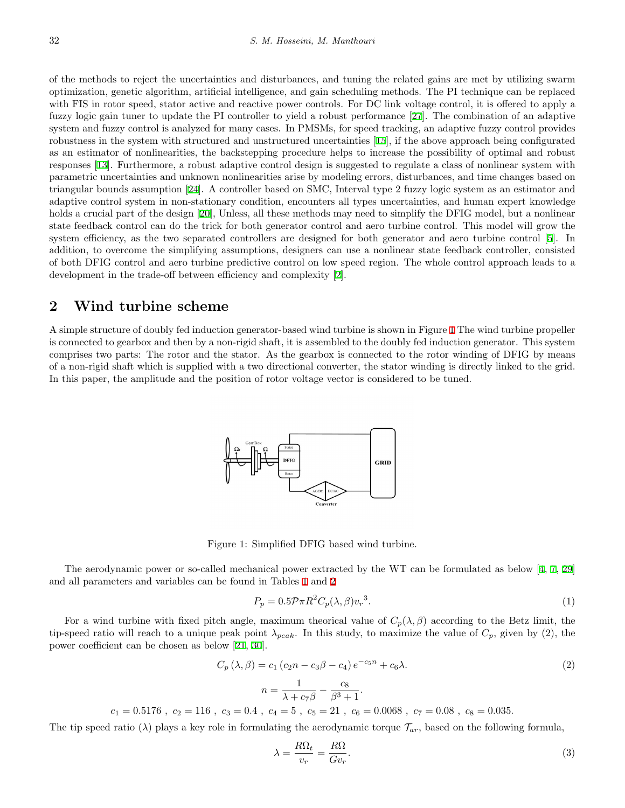of the methods to reject the uncertainties and disturbances, and tuning the related gains are met by utilizing swarm optimization, genetic algorithm, artificial intelligence, and gain scheduling methods. The PI technique can be replaced with FIS in rotor speed, stator active and reactive power controls. For DC link voltage control, it is offered to apply a fuzzy logic gain tuner to update the PI controller to yield a robust performance [[27\]](#page-14-2). The combination of an adaptive system and fuzzy control is analyzed for many cases. In PMSMs, for speed tracking, an adaptive fuzzy control provides robustness in the system with structured and unstructured uncertainties [[15](#page-13-7)], if the above approach being configurated as an estimator of nonlinearities, the backstepping procedure helps to increase the possibility of optimal and robust responses [\[13](#page-13-8)]. Furthermore, a robust adaptive control design is suggested to regulate a class of nonlinear system with parametric uncertainties and unknown nonlinearities arise by modeling errors, disturbances, and time changes based on triangular bounds assumption [\[24](#page-13-9)]. A controller based on SMC, Interval type 2 fuzzy logic system as an estimator and adaptive control system in non-stationary condition, encounters all types uncertainties, and human expert knowledge holds a crucial part of the design [[20\]](#page-13-10), Unless, all these methods may need to simplify the DFIG model, but a nonlinear state feedback control can do the trick for both generator control and aero turbine control. This model will grow the system efficiency, as the two separated controllers are designed for both generator and aero turbine control [[5\]](#page-12-3). In addition, to overcome the simplifying assumptions, designers can use a nonlinear state feedback controller, consisted of both DFIG control and aero turbine predictive control on low speed region. The whole control approach leads to a development in the trade-off between efficiency and complexity [[2](#page-12-4)].

### **2 Wind turbine scheme**

 $c_1 = 0.5176$ ,

<span id="page-1-0"></span>A simple structure of doubly fed induction generator-based wind turbine is shown in Figure [1](#page-1-0) The wind turbine propeller is connected to gearbox and then by a non-rigid shaft, it is assembled to the doubly fed induction generator. This system comprises two parts: The rotor and the stator. As the gearbox is connected to the rotor winding of DFIG by means of a non-rigid shaft which is supplied with a two directional converter, the stator winding is directly linked to the grid. In this paper, the amplitude and the position of rotor voltage vector is considered to be tuned.



Figure 1: Simplified DFIG based wind turbine.

The aerodynamic power or so-called mechanical power extracted by the WT can be formulated as below [[4,](#page-12-2) [7,](#page-12-5) [29](#page-14-1)] and all parameters and variables can be found in Tables [1](#page-2-0) and [2](#page-9-0)

$$
P_p = 0.5 \mathcal{P} \pi R^2 C_p(\lambda, \beta) v_r^3. \tag{1}
$$

For a wind turbine with fixed pitch angle, maximum theorical value of  $C_p(\lambda, \beta)$  according to the Betz limit, the tip-speed ratio will reach to a unique peak point  $\lambda_{peak}$ . In this study, to maximize the value of  $C_p$ , given by (2), the power coefficient can be chosen as below [[21,](#page-13-11) [30\]](#page-14-3).

$$
C_p(\lambda, \beta) = c_1 (c_2 n - c_3 \beta - c_4) e^{-c_5 n} + c_6 \lambda.
$$
  
\n
$$
n = \frac{1}{\lambda + c_7 \beta} - \frac{c_8}{\beta^3 + 1}.
$$
  
\n
$$
c_2 = 116 \ , \ c_3 = 0.4 \ , \ c_4 = 5 \ , \ c_5 = 21 \ , \ c_6 = 0.0068 \ , \ c_7 = 0.08 \ , \ c_8 = 0.035.
$$
  
\n(2)

The tip speed ratio ( $\lambda$ ) plays a key role in formulating the aerodynamic torque  $\mathcal{T}_{ar}$ , based on the following formula,

$$
\lambda = \frac{R\Omega_t}{v_r} = \frac{R\Omega}{Gv_r}.\tag{3}
$$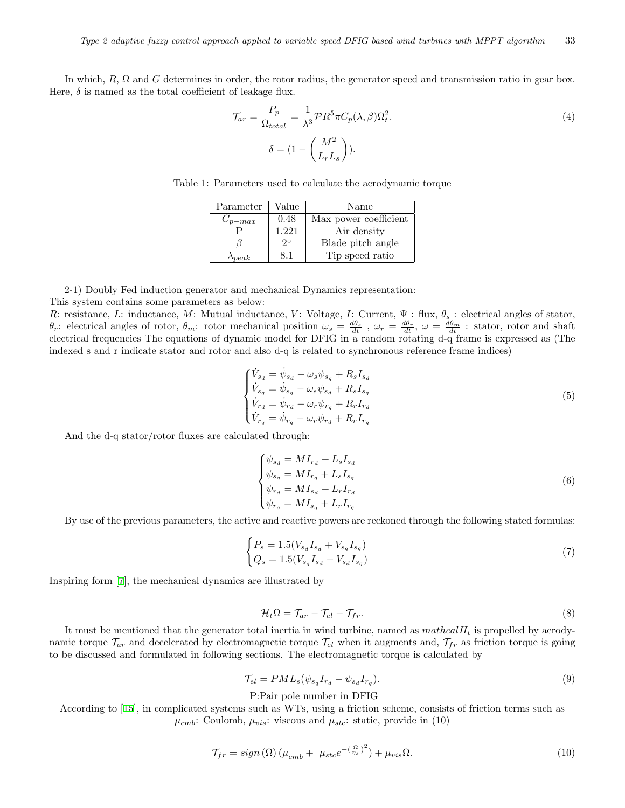<span id="page-2-0"></span>In which, *R*, Ω and *G* determines in order, the rotor radius, the generator speed and transmission ratio in gear box. Here,  $\delta$  is named as the total coefficient of leakage flux.

$$
\mathcal{T}_{ar} = \frac{P_p}{\Omega_{total}} = \frac{1}{\lambda^3} \mathcal{P} R^5 \pi C_p(\lambda, \beta) \Omega_t^2.
$$
\n
$$
\delta = (1 - \left(\frac{M^2}{L_r L_s}\right)).
$$
\n(4)

| Table 1: Parameters used to calculate the aerodynamic torque |  |  |
|--------------------------------------------------------------|--|--|
|                                                              |  |  |

| Parameter        | Value       | Name                  |
|------------------|-------------|-----------------------|
| $C_{p-max}$      | 0.48        | Max power coefficient |
|                  | 1.221       | Air density           |
|                  | $2^{\circ}$ | Blade pitch angle     |
| $\lambda_{peak}$ | 8.1         | Tip speed ratio       |

2-1) Doubly Fed induction generator and mechanical Dynamics representation: This system contains some parameters as below:

<span id="page-2-1"></span>*R*: resistance, *L*: inductance, *M*: Mutual inductance, *V*: Voltage, *I*: Current,  $\Psi$  : flux,  $\theta_s$  : electrical angles of stator,  $\theta_r$ : electrical angles of rotor,  $\theta_m$ : rotor mechanical position  $\omega_s = \frac{d\theta_s}{dt}$ ,  $\omega_r = \frac{d\theta_r}{dt}$ ,  $\omega = \frac{d\theta_m}{dt}$ : stator, rotor and shaft electrical frequencies The equations of dynamic model for DFIG in a random rotating d-q frame is expressed as (The indexed s and r indicate stator and rotor and also d-q is related to synchronous reference frame indices)

$$
\begin{cases}\n\dot{V}_{s_d} = \dot{\psi}_{s_d} - \omega_s \psi_{s_q} + R_s I_{s_d} \\
\dot{V}_{s_q} = \dot{\psi}_{s_q} - \omega_s \psi_{s_d} + R_s I_{s_q} \\
\dot{V}_{r_d} = \dot{\psi}_{r_d} - \omega_r \psi_{r_q} + R_r I_{r_d} \\
\dot{V}_{r_q} = \dot{\psi}_{r_q} - \omega_r \psi_{r_d} + R_r I_{r_q}\n\end{cases} (5)
$$

And the d-q stator/rotor fluxes are calculated through:

$$
\begin{cases}\n\psi_{s_d} = MI_{r_d} + L_s I_{s_d} \\
\psi_{s_q} = MI_{r_q} + L_s I_{s_q} \\
\psi_{r_d} = MI_{s_d} + L_r I_{r_d} \\
\psi_{r_q} = MI_{s_q} + L_r I_{r_q}\n\end{cases}
$$
\n(6)

By use of the previous parameters, the active and reactive powers are reckoned through the following stated formulas:

$$
\begin{cases} P_s = 1.5(V_{s_d}I_{s_d} + V_{s_q}I_{s_q}) \\ Q_s = 1.5(V_{s_q}I_{s_d} - V_{s_d}I_{s_q}) \end{cases} \tag{7}
$$

Inspiring form [\[7](#page-12-5)], the mechanical dynamics are illustrated by

$$
\mathcal{H}_t \Omega = \mathcal{T}_{ar} - \mathcal{T}_{el} - \mathcal{T}_{fr}.
$$
\n<sup>(8)</sup>

It must be mentioned that the generator total inertia in wind turbine, named as *mathcalH<sup>t</sup>* is propelled by aerodynamic torque  $\mathcal{T}_{ar}$  and decelerated by electromagnetic torque  $\mathcal{T}_{el}$  when it augments and,  $\mathcal{T}_{fr}$  as friction torque is going to be discussed and formulated in following sections. The electromagnetic torque is calculated by

$$
\mathcal{T}_{el} = PML_s(\psi_{s_q}I_{r_d} - \psi_{s_d}I_{r_q}).\tag{9}
$$

P:Pair pole number in DFIG

According to [[15\]](#page-13-7), in complicated systems such as WTs, using a friction scheme, consists of friction terms such as  $\mu_{cmb}$ : Coulomb,  $\mu_{vis}$ : viscous and  $\mu_{stc}$ : static, provide in (10)

$$
\mathcal{T}_{fr} = sign\left(\Omega\right)\left(\mu_{cmb} + \mu_{stc}e^{-\left(\frac{\Omega}{\eta_s}\right)^2}\right) + \mu_{vis}\Omega.
$$
\n<sup>(10)</sup>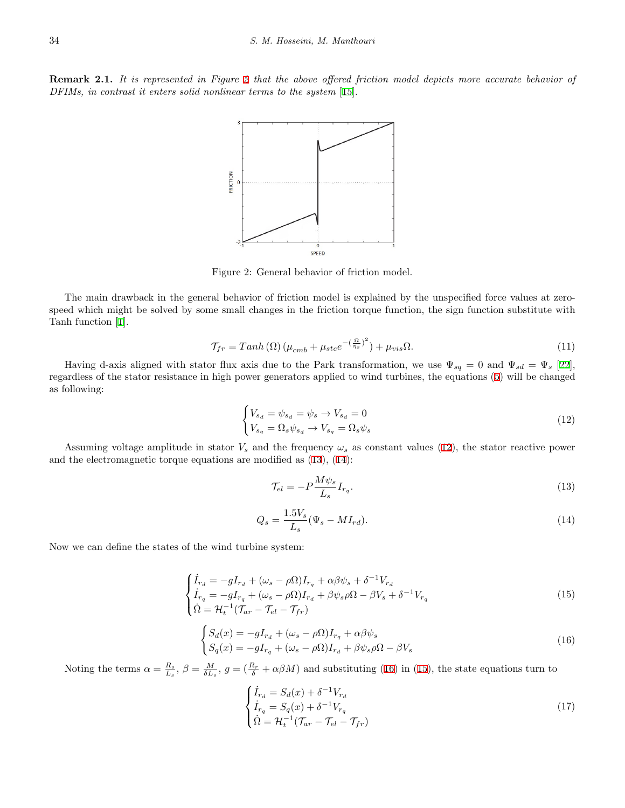<span id="page-3-0"></span>**Remark 2.1.** *It is represented in Figure [2](#page-3-0) that the above offered friction model depicts more accurate behavior of DFIMs, in contrast it enters solid nonlinear terms to the system* [\[15](#page-13-7)].



Figure 2: General behavior of friction model.

The main drawback in the general behavior of friction model is explained by the unspecified force values at zerospeed which might be solved by some small changes in the friction torque function, the sign function substitute with Tanh function [[1\]](#page-12-6).

$$
\mathcal{T}_{fr} = \t{Tanh\left(\Omega\right)\left(\mu_{cmb} + \mu_{stc}e^{-\left(\frac{\Omega}{\eta_s}\right)^2}\right) + \mu_{vis}\Omega. \tag{11}
$$

<span id="page-3-1"></span>Having d-axis aligned with stator flux axis due to the Park transformation, we use  $\Psi_{sq} = 0$  and  $\Psi_{sd} = \Psi_s$  [\[22](#page-13-12)], regardless of the stator resistance in high power generators applied to wind turbines, the equations ([5\)](#page-2-1) will be changed as following:

$$
\begin{cases}\nV_{s_d} = \psi_{s_d} = \psi_s \to V_{s_d} = 0\\ \nV_{s_q} = \Omega_s \psi_{s_d} \to V_{s_q} = \Omega_s \psi_s\n\end{cases} \tag{12}
$$

<span id="page-3-2"></span>Assuming voltage amplitude in stator  $V_s$  and the frequency  $\omega_s$  as constant values ([12\)](#page-3-1), the stator reactive power and the electromagnetic torque equations are modified as [\(13](#page-3-2)), [\(14](#page-3-3)):

$$
\mathcal{T}_{el} = -P \frac{M\psi_s}{L_s} I_{r_q}.\tag{13}
$$

$$
Q_s = \frac{1.5V_s}{L_s} (\Psi_s - MI_{rd}).
$$
\n(14)

<span id="page-3-5"></span><span id="page-3-3"></span>Now we can define the states of the wind turbine system:

$$
\begin{cases}\n\dot{I}_{r_d} = -gI_{r_d} + (\omega_s - \rho \Omega)I_{r_q} + \alpha \beta \psi_s + \delta^{-1} V_{r_d} \\
\dot{I}_{r_q} = -gI_{r_q} + (\omega_s - \rho \Omega)I_{r_d} + \beta \psi_s \rho \Omega - \beta V_s + \delta^{-1} V_{r_q} \\
\dot{\Omega} = \mathcal{H}_t^{-1} (\mathcal{T}_{ar} - \mathcal{T}_{el} - \mathcal{T}_{fr})\n\end{cases} \tag{15}
$$

$$
\begin{cases}\nS_d(x) = -gI_{r_d} + (\omega_s - \rho \Omega)I_{r_q} + \alpha \beta \psi_s \\
S_q(x) = -gI_{r_q} + (\omega_s - \rho \Omega)I_{r_d} + \beta \psi_s \rho \Omega - \beta V_s\n\end{cases}
$$
\n(16)

<span id="page-3-6"></span><span id="page-3-4"></span>Noting the terms  $\alpha = \frac{R_s}{L_s}$ ,  $\beta = \frac{M}{\delta L_s}$ ,  $g = (\frac{R_r}{\delta} + \alpha \beta M)$  and substituting [\(16](#page-3-4)) in ([15\)](#page-3-5), the state equations turn to

$$
\begin{cases}\n\dot{I}_{r_d} = S_d(x) + \delta^{-1} V_{r_d} \\
\dot{I}_{r_q} = S_q(x) + \delta^{-1} V_{r_q} \\
\dot{\Omega} = \mathcal{H}_t^{-1} (\mathcal{T}_{ar} - \mathcal{T}_{el} - \mathcal{T}_{fr})\n\end{cases} (17)
$$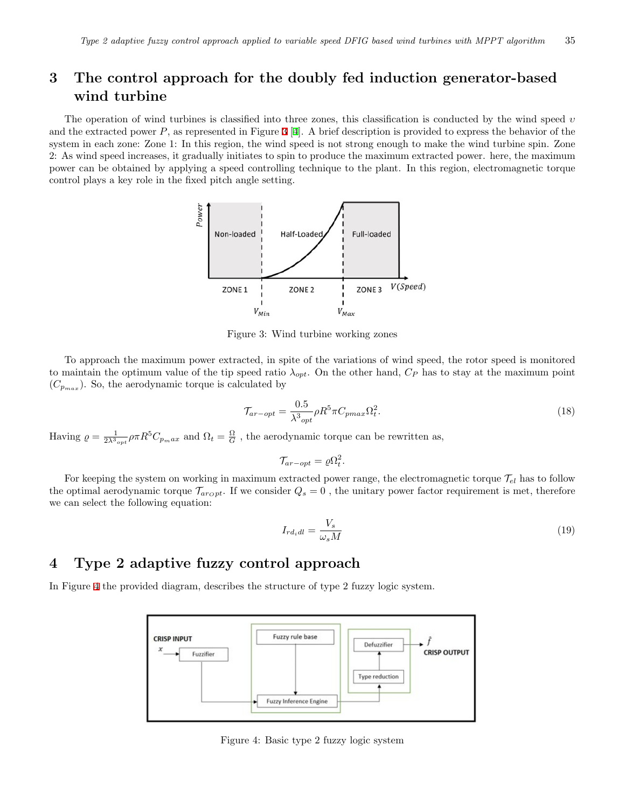## **3 The control approach for the doubly fed induction generator-based wind turbine**

<span id="page-4-0"></span>The operation of wind turbines is classified into three zones, this classification is conducted by the wind speed *υ* and the extracted power *P*, as represented in Figure [3](#page-4-0) [\[4](#page-12-2)]. A brief description is provided to express the behavior of the system in each zone: Zone 1: In this region, the wind speed is not strong enough to make the wind turbine spin. Zone 2: As wind speed increases, it gradually initiates to spin to produce the maximum extracted power. here, the maximum power can be obtained by applying a speed controlling technique to the plant. In this region, electromagnetic torque control plays a key role in the fixed pitch angle setting.



Figure 3: Wind turbine working zones

To approach the maximum power extracted, in spite of the variations of wind speed, the rotor speed is monitored to maintain the optimum value of the tip speed ratio  $\lambda_{opt}$ . On the other hand,  $C_P$  has to stay at the maximum point  $(C_{p_{max}})$ . So, the aerodynamic torque is calculated by

$$
\mathcal{T}_{ar-opt} = \frac{0.5}{\lambda^3_{opt}} \rho R^5 \pi C_{pmax} \Omega_t^2.
$$
\n(18)

Having  $\rho = \frac{1}{2\lambda^3_{opt}} \rho \pi R^5 C_{p_max}$  and  $\Omega_t = \frac{\Omega}{G}$ , the aerodynamic torque can be rewritten as,

$$
\mathcal{T}_{ar-opt} = \varrho \Omega_t^2.
$$

For keeping the system on working in maximum extracted power range, the electromagnetic torque  $\mathcal{T}_{el}$  has to follow the optimal aerodynamic torque  $\mathcal{T}_{a r_0 p t}$ . If we consider  $Q_s = 0$ , the unitary power factor requirement is met, therefore we can select the following equation:

$$
I_{rd_idl} = \frac{V_s}{\omega_s M} \tag{19}
$$

### **4 Type 2 adaptive fuzzy control approach**

<span id="page-4-1"></span>In Figure [4](#page-4-1) the provided diagram, describes the structure of type 2 fuzzy logic system.



Figure 4: Basic type 2 fuzzy logic system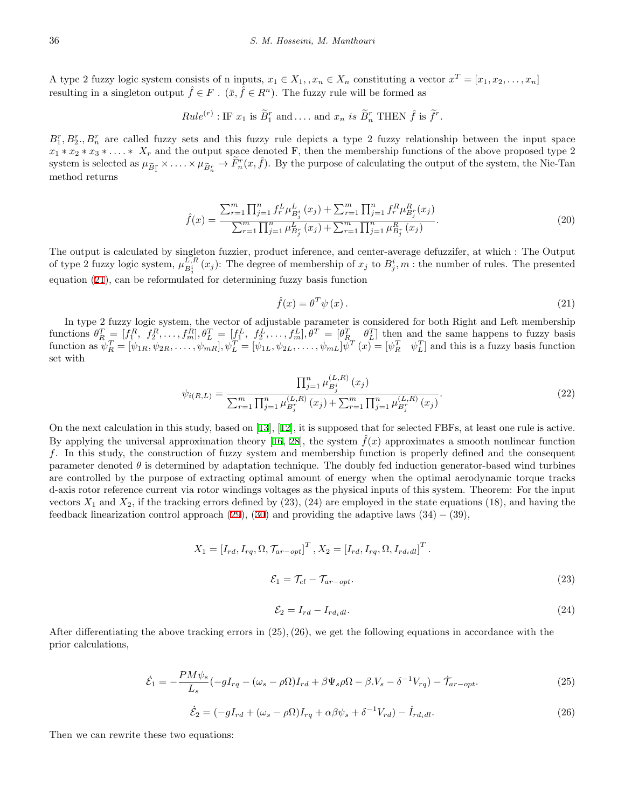A type 2 fuzzy logic system consists of n inputs,  $x_1 \in X_1$ ,  $x_n \in X_n$  constituting a vector  $x^T = [x_1, x_2, \ldots, x_n]$ resulting in a singleton output  $\hat{f} \in F$ .  $(\bar{x}, \hat{f} \in R^n)$ . The fuzzy rule will be formed as

*Rule*<sup>(r)</sup>: IF 
$$
x_1
$$
 is  $\widetilde{B}_1^r$  and.... and  $x_n$  is  $\widetilde{B}_n^r$  THEN  $\hat{f}$  is  $\widetilde{f}^r$ .

 $B_1^r, B_2^r, B_n^r$  are called fuzzy sets and this fuzzy rule depicts a type 2 fuzzy relationship between the input space  $x_1 * x_2 * x_3 * \ldots * x_r$  and the output space denoted F, then the membership functions of the above proposed type 2 system is selected as  $\mu_{\widetilde{B}_1^r} \times \ldots \times \mu_{\widetilde{B}_n^r} \to \widetilde{F}_n^r(x,\hat{f})$ . By the purpose of calculating the output of the system, the Nie-Tan method returns

$$
\hat{f}(x) = \frac{\sum_{r=1}^{m} \prod_{j=1}^{n} f_r^L \mu_{B_j^i}^L(x_j) + \sum_{r=1}^{m} \prod_{j=1}^{n} f_r^R \mu_{B_j^r}^R(x_j)}{\sum_{r=1}^{m} \prod_{j=1}^{n} \mu_{B_j^r}^L(x_j) + \sum_{r=1}^{m} \prod_{j=1}^{n} \mu_{B_j^r}^R(x_j)}.
$$
\n(20)

The output is calculated by singleton fuzzier, product inference, and center-average defuzzifer, at which : The Output of type 2 fuzzy logic system,  $\mu_{B_j^i}^{\overline{L,R}}(x_j)$ : The degree of membership of  $x_j$  to  $B_j^i, m$ : the number of rules. The presented equation ([21\)](#page-5-0), can be reformulated for determining fuzzy basis function

$$
\hat{f}(x) = \theta^T \psi(x). \tag{21}
$$

<span id="page-5-1"></span><span id="page-5-0"></span>In type 2 fuzzy logic system, the vector of adjustable parameter is considered for both Right and Left membership functions  $\theta_R^T = [f_1^R, f_2^R, \dots, f_m^R], \theta_L^T = [f_1^L, f_2^L, \dots, f_m^L], \theta_T^T = [\theta_R^T, \theta_L^T]$  then and the same happens to fuzzy basis function as  $\psi_R^T = [\psi_{1R}, \psi_{2R}, \dots, \psi_{mR}], \psi_L^T = [\psi_{1L}, \psi_{2L}, \dots, \psi_{mL}] \psi^T(x) = [\psi_R^T \quad \psi_L^T]$  and this is a fuzzy basis function set with

$$
\psi_{i(R,L)} = \frac{\prod_{j=1}^{n} \mu_{B_j^i}^{(L,R)}(x_j)}{\sum_{r=1}^{m} \prod_{j=1}^{n} \mu_{B_j^r}^{(L,R)}(x_j) + \sum_{r=1}^{m} \prod_{j=1}^{n} \mu_{B_j^r}^{(L,R)}(x_j)}.
$$
\n(22)

On the next calculation in this study, based on [[13](#page-13-8)], [[12\]](#page-13-13), it is supposed that for selected FBFs, at least one rule is active. By applying the universal approximation theory [[16](#page-13-14), [28\]](#page-14-4), the system  $\hat{f}(x)$  approximates a smooth nonlinear function *f*. In this study, the construction of fuzzy system and membership function is properly defined and the consequent parameter denoted  $\theta$  is determined by adaptation technique. The doubly fed induction generator-based wind turbines are controlled by the purpose of extracting optimal amount of energy when the optimal aerodynamic torque tracks d-axis rotor reference current via rotor windings voltages as the physical inputs of this system. Theorem: For the input vectors  $X_1$  and  $X_2$ , if the tracking errors defined by  $(23)$ ,  $(24)$  are employed in the state equations  $(18)$ , and having the feedback linearization control approach [\(29](#page-6-0)), ([30\)](#page-6-1) and providing the adaptive laws (34) *−* (39),

$$
X_1 = [I_{rd}, I_{rq}, \Omega, \mathcal{T}_{ar-opt}]^T, X_2 = [I_{rd}, I_{rq}, \Omega, I_{rd_idl}]^T.
$$
  

$$
\mathcal{E}_1 = \mathcal{T}_{el} - \mathcal{T}_{ar-opt}.
$$
 (23)

$$
\mathcal{E}_2 = I_{rd} - I_{rd_idl}.\tag{24}
$$

<span id="page-5-2"></span>After differentiating the above tracking errors in (25)*,*(26), we get the following equations in accordance with the prior calculations,

$$
\dot{\mathcal{E}}_1 = -\frac{PM\psi_s}{L_s}(-gI_{rq} - (\omega_s - \rho\Omega)I_{rd} + \beta\Psi_s\rho\Omega - \beta.V_s - \delta^{-1}V_{rq}) - \dot{\mathcal{T}}_{ar-opt}.
$$
\n(25)

$$
\dot{\mathcal{E}}_2 = (-gI_{rd} + (\omega_s - \rho \Omega)I_{rq} + \alpha\beta\psi_s + \delta^{-1}V_{rd}) - \dot{I}_{rd_idl}.
$$
\n(26)

Then we can rewrite these two equations: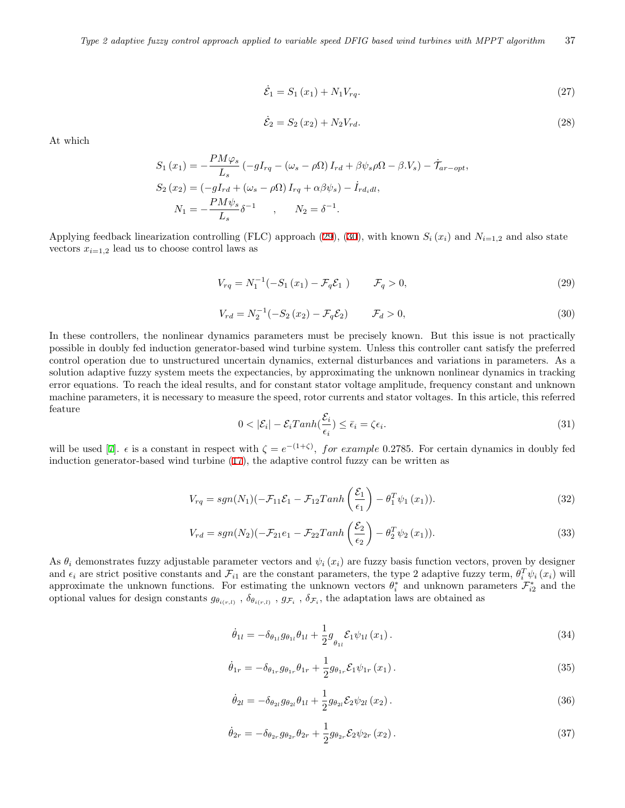$$
\dot{\mathcal{E}}_1 = S_1(x_1) + N_1 V_{rq}.\tag{27}
$$

$$
\dot{\mathcal{E}}_2 = S_2(x_2) + N_2 V_{rd}.\tag{28}
$$

<span id="page-6-3"></span><span id="page-6-2"></span>At which

$$
S_1(x_1) = -\frac{PM\varphi_s}{L_s} \left( -gI_{rq} - (\omega_s - \rho\Omega) I_{rd} + \beta\psi_s\rho\Omega - \beta.V_s \right) - \tilde{\mathcal{T}}_{ar-opt},
$$
  
\n
$$
S_2(x_2) = \left( -gI_{rd} + (\omega_s - \rho\Omega) I_{rq} + \alpha\beta\psi_s \right) - \dot{I}_{rd_idl},
$$
  
\n
$$
N_1 = -\frac{PM\psi_s}{L_s} \delta^{-1} \qquad , \qquad N_2 = \delta^{-1}.
$$

<span id="page-6-0"></span>Applying feedback linearization controlling (FLC) approach [\(29](#page-6-0)), [\(30](#page-6-1)), with known  $S_i(x_i)$  and  $N_{i=1,2}$  and also state vectors  $x_{i=1,2}$  lead us to choose control laws as

$$
V_{rq} = N_1^{-1}(-S_1(x_1) - \mathcal{F}_q \mathcal{E}_1) \qquad \mathcal{F}_q > 0,
$$
\n(29)

$$
V_{rd} = N_2^{-1}(-S_2(x_2) - \mathcal{F}_q \mathcal{E}_2) \qquad \mathcal{F}_d > 0,
$$
\n(30)

<span id="page-6-1"></span>In these controllers, the nonlinear dynamics parameters must be precisely known. But this issue is not practically possible in doubly fed induction generator-based wind turbine system. Unless this controller cant satisfy the preferred control operation due to unstructured uncertain dynamics, external disturbances and variations in parameters. As a solution adaptive fuzzy system meets the expectancies, by approximating the unknown nonlinear dynamics in tracking error equations. To reach the ideal results, and for constant stator voltage amplitude, frequency constant and unknown machine parameters, it is necessary to measure the speed, rotor currents and stator voltages. In this article, this referred feature

$$
0 < |\mathcal{E}_i| - \mathcal{E}_i \operatorname{Tanh}(\frac{\mathcal{E}_i}{\epsilon_i}) \le \bar{\epsilon}_i = \zeta \epsilon_i. \tag{31}
$$

<span id="page-6-6"></span><span id="page-6-4"></span>will be used [\[7](#page-12-5)].  $\epsilon$  is a constant in respect with  $\zeta = e^{-(1+\zeta)}$ , for example 0.2785. For certain dynamics in doubly fed induction generator-based wind turbine ([17\)](#page-3-6), the adaptive control fuzzy can be written as

$$
V_{rq} = sgn(N_1)(-\mathcal{F}_{11}\mathcal{E}_1 - \mathcal{F}_{12}Tanh\left(\frac{\mathcal{E}_1}{\epsilon_1}\right) - \theta_1^T\psi_1(x_1)).
$$
\n(32)

$$
V_{rd} = sgn(N_2)(-\mathcal{F}_{21}e_1 - \mathcal{F}_{22}Tanh\left(\frac{\mathcal{E}_2}{\epsilon_2}\right) - \theta_2^T \psi_2(x_1)).
$$
\n(33)

<span id="page-6-7"></span><span id="page-6-5"></span>As  $\theta_i$  demonstrates fuzzy adjustable parameter vectors and  $\psi_i(x_i)$  are fuzzy basis function vectors, proven by designer and  $\epsilon_i$  are strict positive constants and  $\mathcal{F}_{i1}$  are the constant parameters, the type 2 adaptive fuzzy term,  $\theta_i^T \psi_i(x_i)$  will approximate the unknown functions. For estimating the unknown vectors  $\theta_i^*$  and unknown parameters  $\mathcal{F}_{i2}^*$  and the optional values for design constants  $g_{\theta_{i(r,l)}}$ ,  $\delta_{\theta_{i(r,l)}}$ ,  $g_{\mathcal{F}_i}$ ,  $\delta_{\mathcal{F}_i}$ , the adaptation laws are obtained as

$$
\dot{\theta}_{1l} = -\delta_{\theta_{1l}} g_{\theta_{1l}} \theta_{1l} + \frac{1}{2} g_{\theta_{1l}} \mathcal{E}_1 \psi_{1l} (x_1).
$$
\n(34)

$$
\dot{\theta}_{1r} = -\delta_{\theta_{1r}} g_{\theta_{1r}} \theta_{1r} + \frac{1}{2} g_{\theta_{1r}} \mathcal{E}_1 \psi_{1r} (x_1).
$$
\n(35)

$$
\dot{\theta}_{2l} = -\delta_{\theta_{2l}} g_{\theta_{2l}} \theta_{1l} + \frac{1}{2} g_{\theta_{2l}} \mathcal{E}_2 \psi_{2l} (x_2).
$$
 (36)

$$
\dot{\theta}_{2r} = -\delta_{\theta_{2r}} g_{\theta_{2r}} \theta_{2r} + \frac{1}{2} g_{\theta_{2r}} \mathcal{E}_2 \psi_{2r} (x_2).
$$
\n(37)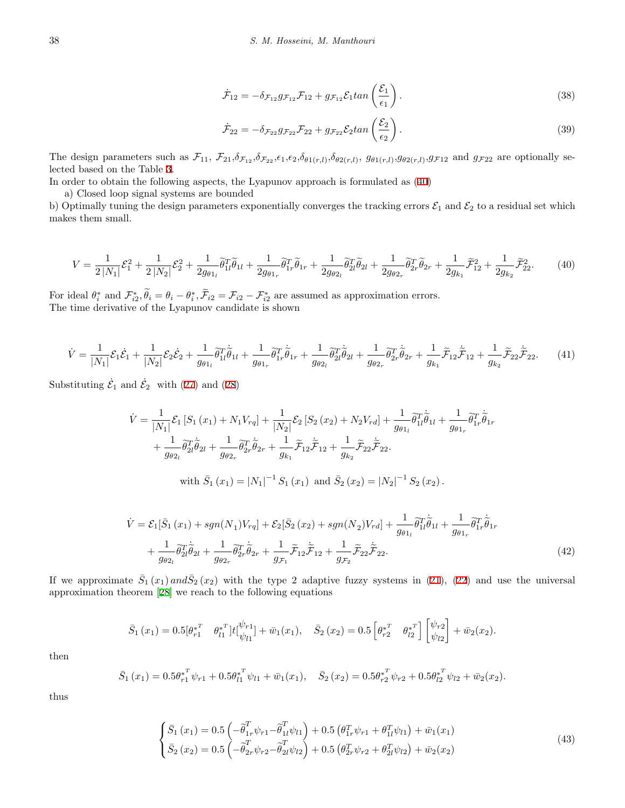$$
\dot{\mathcal{F}}_{12} = -\delta_{\mathcal{F}_{12}} g_{\mathcal{F}_{12}} \mathcal{F}_{12} + g_{\mathcal{F}_{12}} \mathcal{E}_1 \tan\left(\frac{\mathcal{E}_1}{\epsilon_1}\right). \tag{38}
$$

$$
\dot{\mathcal{F}}_{22} = -\delta_{\mathcal{F}_{22}} g_{\mathcal{F}_{22}} \mathcal{F}_{22} + g_{\mathcal{F}_{22}} \mathcal{E}_2 \tan\left(\frac{\mathcal{E}_2}{\epsilon_2}\right). \tag{39}
$$

<span id="page-7-2"></span><span id="page-7-1"></span>The design parameters such as  $\mathcal{F}_{11}$ ,  $\mathcal{F}_{21}$ ,  $\delta_{\mathcal{F}_{12}}$ ,  $\delta_{\mathcal{F}_{22}}$ ,  $\epsilon_1$ ,  $\epsilon_2$ ,  $\delta_{\theta_1(r,l)}$ ,  $\delta_{\theta_2(r,l)}$ ,  $g_{\theta_1(r,l)}$ ,  $g_{\theta_2(r,l)}$ ,  $g_{\mathcal{F}_{12}}$  and  $g_{\mathcal{F}_{22}}$  are optionally selected based on the Table [3](#page-10-0).

In order to obtain the following aspects, the Lyapunov approach is formulated as ([40](#page-7-0))

a) Closed loop signal systems are bounded

<span id="page-7-0"></span>b) Optimally tuning the design parameters exponentially converges the tracking errors  $\mathcal{E}_1$  and  $\mathcal{E}_2$  to a residual set which makes them small.

$$
V = \frac{1}{2|N_1|}\mathcal{E}_1^2 + \frac{1}{2|N_2|}\mathcal{E}_2^2 + \frac{1}{2g_{\theta 1_l}}\widetilde{\theta}_{1l}^T\widetilde{\theta}_{1l} + \frac{1}{2g_{\theta 1_r}}\widetilde{\theta}_{1r}^T\widetilde{\theta}_{1r} + \frac{1}{2g_{\theta 2_l}}\widetilde{\theta}_{2l}^T\widetilde{\theta}_{2l} + \frac{1}{2g_{\theta 2_r}}\widetilde{\theta}_{2r}^T\widetilde{\theta}_{2r} + \frac{1}{2g_{k_1}}\widetilde{\mathcal{F}}_{12}^2 + \frac{1}{2g_{k_2}}\widetilde{\mathcal{F}}_{22}^2. \tag{40}
$$

For ideal  $\theta_i^*$  and  $\mathcal{F}_{i2}^*, \theta_i = \theta_i - \theta_i^*, \mathcal{F}_{i2} = \mathcal{F}_{i2} - \mathcal{F}_{i2}^*$  are assumed as approximation errors. The time derivative of the Lyapunov candidate is shown

$$
\dot{V} = \frac{1}{|N_1|} \mathcal{E}_1 \dot{\mathcal{E}}_1 + \frac{1}{|N_2|} \mathcal{E}_2 \dot{\mathcal{E}}_2 + \frac{1}{g_{\theta 1}} \tilde{\theta}_{1l}^T \dot{\tilde{\theta}}_{1l} + \frac{1}{g_{\theta 1r}} \tilde{\theta}_{1r}^T \dot{\tilde{\theta}}_{1r} + \frac{1}{g_{\theta 2l}} \tilde{\theta}_{2l}^T \dot{\tilde{\theta}}_{2l} + \frac{1}{g_{\theta 2r}} \tilde{\theta}_{2r}^T \dot{\tilde{\theta}}_{2r} + \frac{1}{g_{k_1}} \tilde{\mathcal{F}}_{12} \dot{\tilde{\mathcal{F}}}_{12} + \frac{1}{g_{k_2}} \tilde{\mathcal{F}}_{22} \dot{\tilde{\mathcal{F}}}_{22}.
$$
 (41)

Substituting  $\dot{\mathcal{E}}_1$  and  $\dot{\mathcal{E}}_2$  with ([27\)](#page-6-2) and ([28\)](#page-6-3)

$$
\dot{V} = \frac{1}{|N_1|} \mathcal{E}_1 \left[ S_1 \left( x_1 \right) + N_1 V_{rq} \right] + \frac{1}{|N_2|} \mathcal{E}_2 \left[ S_2 \left( x_2 \right) + N_2 V_{rd} \right] + \frac{1}{g_{\theta 1}} \tilde{\theta}_{1l}^T \dot{\tilde{\theta}}_{1l} + \frac{1}{g_{\theta 1r}} \tilde{\theta}_{1r}^T \dot{\tilde{\theta}}_{1r} + \frac{1}{g_{\theta 2l}} \tilde{\theta}_{2l}^T \dot{\tilde{\theta}}_{2l} + \frac{1}{g_{\theta 2r}} \tilde{\theta}_{2r}^T \dot{\tilde{\theta}}_{2r} + \frac{1}{g_{k_1}} \tilde{\mathcal{F}}_{12} \tilde{\mathcal{F}}_{12} + \frac{1}{g_{k_2}} \tilde{\mathcal{F}}_{22} \dot{\tilde{\mathcal{F}}}_{22}.
$$
\nwith  $\bar{S}_1 \left( x_1 \right) = |N_1|^{-1} S_1 \left( x_1 \right)$  and  $\bar{S}_2 \left( x_2 \right) = |N_2|^{-1} S_2 \left( x_2 \right)$ .

<span id="page-7-3"></span>
$$
\dot{V} = \mathcal{E}_1[\bar{S}_1(x_1) + sgn(N_1)V_{rq}] + \mathcal{E}_2[\bar{S}_2(x_2) + sgn(N_2)V_{rd}] + \frac{1}{g_{\theta 1_l}} \tilde{\theta}_{1l}^T \dot{\tilde{\theta}}_{1l} + \frac{1}{g_{\theta 1_r}} \tilde{\theta}_{1r}^T \dot{\tilde{\theta}}_{1r} + \frac{1}{g_{\theta 2_l}} \tilde{\theta}_{2l}^T \dot{\tilde{\theta}}_{2l} + \frac{1}{g_{\theta 2_r}} \tilde{\theta}_{2r}^T \dot{\tilde{\theta}}_{2r} + \frac{1}{g_{\mathcal{F}_1}} \tilde{\mathcal{F}}_{12} \dot{\tilde{\mathcal{F}}}_{12} + \frac{1}{g_{\mathcal{F}_2}} \tilde{\mathcal{F}}_{22} \dot{\tilde{\mathcal{F}}}_{22}.
$$
\n(42)

If we approximate  $\bar{S}_1(x_1)$  and  $\bar{S}_2(x_2)$  with the type 2 adaptive fuzzy systems in ([21\)](#page-5-0), [\(22](#page-5-1)) and use the universal approximation theorem [\[28](#page-14-4)] we reach to the following equations

$$
\bar{S}_1(x_1) = 0.5[\theta_{r1}^{*T} \quad \theta_{l1}^{*T}]t[\psi_{l1}^{t} + \bar{w}_1(x_1), \quad \bar{S}_2(x_2) = 0.5[\theta_{r2}^{*T} \quad \theta_{l2}^{*T}]\psi_{l2}^{t}] + \bar{w}_2(x_2).
$$

then

$$
\bar{S}_1(x_1) = 0.5\theta_{r1}^{*T}\psi_{r1} + 0.5\theta_{l1}^{*T}\psi_{l1} + \bar{w}_1(x_1), \quad \bar{S}_2(x_2) = 0.5\theta_{r2}^{*T}\psi_{r2} + 0.5\theta_{l2}^{*T}\psi_{l2} + \bar{w}_2(x_2).
$$

thus

$$
\begin{cases}\n\bar{S}_1(x_1) = 0.5 \left( -\tilde{\theta}_{1r}^T \psi_{r1} - \tilde{\theta}_{1l}^T \psi_{l1} \right) + 0.5 \left( \theta_{1r}^T \psi_{r1} + \theta_{1l}^T \psi_{l1} \right) + \bar{w}_1(x_1) \\
\bar{S}_2(x_2) = 0.5 \left( -\tilde{\theta}_{2r}^T \psi_{r2} - \tilde{\theta}_{2l}^T \psi_{l2} \right) + 0.5 \left( \theta_{2r}^T \psi_{r2} + \theta_{2l}^T \psi_{l2} \right) + \bar{w}_2(x_2)\n\end{cases}
$$
\n(43)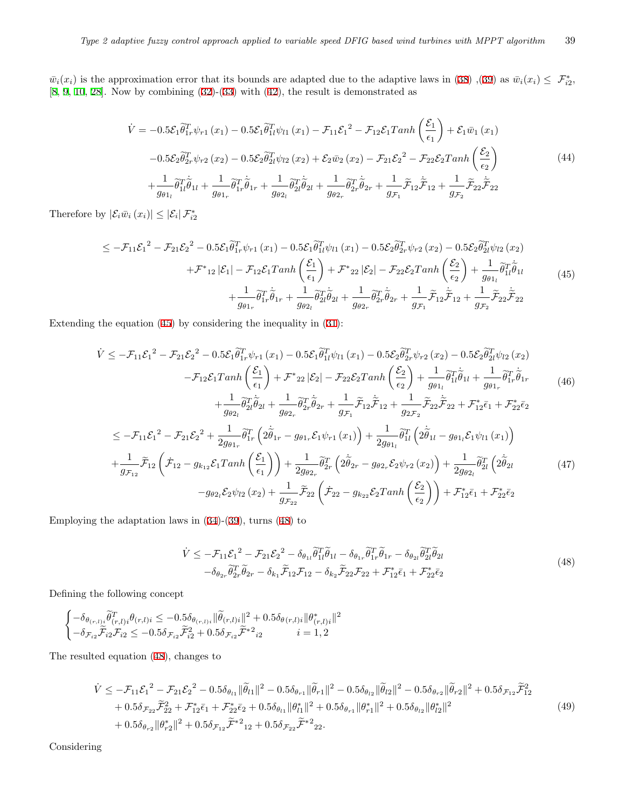$\bar{w}_i(x_i)$  is the approximation error that its bounds are adapted due to the adaptive laws in ([38\)](#page-7-1) ,([39\)](#page-7-2) as  $\bar{w}_i(x_i) \leq \mathcal{F}^*_{i2}$ , [[8,](#page-13-5) [9](#page-13-15), [10](#page-13-16), [28](#page-14-4)]. Now by combining [\(32](#page-6-4))-([33](#page-6-5)) with [\(42](#page-7-3)), the result is demonstrated as

$$
\dot{V} = -0.5\mathcal{E}_1\tilde{\theta}_{1r}^T\psi_{r1}(x_1) - 0.5\mathcal{E}_1\tilde{\theta}_{1l}^T\psi_{l1}(x_1) - \mathcal{F}_{11}\mathcal{E}_1^2 - \mathcal{F}_{12}\mathcal{E}_1Tanh\left(\frac{\mathcal{E}_1}{\epsilon_1}\right) + \mathcal{E}_1\bar{w}_1(x_1)
$$
  
\n
$$
-0.5\mathcal{E}_2\tilde{\theta}_{2r}^T\psi_{r2}(x_2) - 0.5\mathcal{E}_2\tilde{\theta}_{2l}^T\psi_{l2}(x_2) + \mathcal{E}_2\bar{w}_2(x_2) - \mathcal{F}_{21}\mathcal{E}_2^2 - \mathcal{F}_{22}\mathcal{E}_2Tanh\left(\frac{\mathcal{E}_2}{\epsilon_2}\right)
$$
  
\n
$$
+ \frac{1}{g_{\theta 1_l}}\tilde{\theta}_{1l}^T\tilde{\theta}_{1l} + \frac{1}{g_{\theta 1_r}}\tilde{\theta}_{1r}^T\tilde{\theta}_{1r} + \frac{1}{g_{\theta 2_l}}\tilde{\theta}_{2l}^T\tilde{\theta}_{2l} + \frac{1}{g_{\theta 2_r}}\tilde{\theta}_{2r}^T\tilde{\theta}_{2r} + \frac{1}{g_{\mathcal{F}_1}}\tilde{\mathcal{F}}_{12}\tilde{\mathcal{F}}_{12} + \frac{1}{g_{\mathcal{F}_2}}\tilde{\mathcal{F}}_{22}\tilde{\mathcal{F}}_{22}
$$
(44)

<span id="page-8-0"></span>Therefore by  $|\mathcal{E}_i \bar{w}_i(x_i)| \leq |\mathcal{E}_i| \mathcal{F}_{i2}^*$ 

$$
\leq -\mathcal{F}_{11}\mathcal{E}_{1}^{2} - \mathcal{F}_{21}\mathcal{E}_{2}^{2} - 0.5\mathcal{E}_{1}\tilde{\theta}_{1r}^{T}\psi_{r1}(x_{1}) - 0.5\mathcal{E}_{1}\tilde{\theta}_{1l}^{T}\psi_{l1}(x_{1}) - 0.5\mathcal{E}_{2}\tilde{\theta}_{2r}^{T}\psi_{r2}(x_{2}) - 0.5\mathcal{E}_{2}\tilde{\theta}_{2l}^{T}\psi_{l2}(x_{2}) \n+ \mathcal{F}^{*}_{12}|\mathcal{E}_{1}| - \mathcal{F}_{12}\mathcal{E}_{1}Tanh\left(\frac{\mathcal{E}_{1}}{\epsilon_{1}}\right) + \mathcal{F}^{*}_{22}|\mathcal{E}_{2}| - \mathcal{F}_{22}\mathcal{E}_{2}Tanh\left(\frac{\mathcal{E}_{2}}{\epsilon_{2}}\right) + \frac{1}{g_{\theta 1}}\tilde{\theta}_{1l}^{T}\tilde{\theta}_{1l} \n+ \frac{1}{g_{\theta 1r}}\tilde{\theta}_{1r}^{T}\tilde{\theta}_{1r} + \frac{1}{g_{\theta 2l}}\tilde{\theta}_{2l}^{T}\tilde{\theta}_{2l} + \frac{1}{g_{\theta 2r}}\tilde{\theta}_{2r}^{T}\tilde{\theta}_{2r} + \frac{1}{g_{\mathcal{F}_{1}}}\tilde{\mathcal{F}}_{12}\tilde{\mathcal{F}}_{12} + \frac{1}{g_{\mathcal{F}_{2}}}\tilde{\mathcal{F}}_{22}\tilde{\mathcal{F}}_{22}
$$
\n(45)

Extending the equation ([45\)](#page-8-0) by considering the inequality in ([31\)](#page-6-6):

$$
\dot{V} \leq -\mathcal{F}_{11}\mathcal{E}_{1}^{2} - \mathcal{F}_{21}\mathcal{E}_{2}^{2} - 0.5\mathcal{E}_{1}\tilde{\theta}_{1r}^{T}\psi_{r1}(x_{1}) - 0.5\mathcal{E}_{1}\tilde{\theta}_{1l}^{T}\psi_{l1}(x_{1}) - 0.5\mathcal{E}_{2}\tilde{\theta}_{2r}^{T}\psi_{r2}(x_{2}) - 0.5\mathcal{E}_{2}\tilde{\theta}_{2l}^{T}\psi_{l2}(x_{2}) - \mathcal{F}_{12}\mathcal{E}_{1}Tanh\left(\frac{\mathcal{E}_{1}}{\epsilon_{1}}\right) + \mathcal{F}^{*}_{22}|\mathcal{E}_{2}| - \mathcal{F}_{22}\mathcal{E}_{2}Tanh\left(\frac{\mathcal{E}_{2}}{\epsilon_{2}}\right) + \frac{1}{g_{\theta 1_{l}}}\tilde{\theta}_{1l}^{T}\tilde{\theta}_{1l} + \frac{1}{g_{\theta 1_{r}}}\tilde{\theta}_{1r}^{T}\tilde{\theta}_{1r} + \frac{1}{g_{\theta 2_{r}}}\tilde{\theta}_{2l}^{T}\tilde{\theta}_{2l} + \frac{1}{g_{\theta 2_{r}}}\tilde{\theta}_{2r}^{T}\tilde{\theta}_{2r} + \frac{1}{g_{\mathcal{F}_{1}}}\tilde{\theta}_{2r}^{T}\tilde{\theta}_{2r} + \frac{1}{g_{\mathcal{F}_{1}}}\tilde{\mathcal{F}}_{12}\tilde{\mathcal{F}}_{12} + \frac{1}{g_{2\mathcal{F}_{2}}}\tilde{\mathcal{F}}_{22} + \mathcal{F}^{*}_{12}\tilde{\epsilon}_{1} + \mathcal{F}^{*}_{22}\tilde{\epsilon}_{2}
$$
\n(46)

$$
\leq -\mathcal{F}_{11}\mathcal{E}_{1}^{2} - \mathcal{F}_{21}\mathcal{E}_{2}^{2} + \frac{1}{2g_{\theta1_{r}}}\widetilde{\theta}_{1r}^{T}\left(2\widetilde{\theta}_{1r} - g_{\theta1_{r}}\mathcal{E}_{1}\psi_{r1}\left(x_{1}\right)\right) + \frac{1}{2g_{\theta1_{l}}}\widetilde{\theta}_{1l}^{T}\left(2\widetilde{\theta}_{1l} - g_{\theta1_{l}}\mathcal{E}_{1}\psi_{l1}\left(x_{1}\right)\right) + \frac{1}{g_{\mathcal{F}_{12}}}\widetilde{\mathcal{F}}_{12}\left(\dot{\mathcal{F}}_{12} - g_{k_{12}}\mathcal{E}_{1}Tanh\left(\frac{\mathcal{E}_{1}}{\epsilon_{1}}\right)\right) + \frac{1}{2g_{\theta2_{r}}}\widetilde{\theta}_{2r}^{T}\left(2\widetilde{\theta}_{2r} - g_{\theta2_{r}}\mathcal{E}_{2}\psi_{r2}\left(x_{2}\right)\right) + \frac{1}{2g_{\theta2_{l}}}\widetilde{\theta}_{2l}^{T}\left(2\widetilde{\theta}_{2l} - g_{k_{22}}\mathcal{E}_{2}\psi_{r2}\left(x_{2}\right)\right) + \frac{1}{2g_{\theta2_{l}}}\widetilde{\theta}_{2l}^{T}\left(2\widetilde{\theta}_{2l} - g_{k_{22}}\mathcal{E}_{2}Tanh\left(\frac{\mathcal{E}_{2}}{\epsilon_{2}}\right)\right) + \mathcal{F}_{12}^{*}\bar{\epsilon}_{1} + \mathcal{F}_{22}^{*}\bar{\epsilon}_{2}
$$
(47)

<span id="page-8-1"></span>Employing the adaptation laws in ([34](#page-6-7))-[\(39](#page-7-2)), turns ([48\)](#page-8-1) to

$$
\dot{V} \leq -\mathcal{F}_{11}\mathcal{E}_{1}^{2} - \mathcal{F}_{21}\mathcal{E}_{2}^{2} - \delta_{\theta_{11}}\widetilde{\theta}_{11}^{T}\widetilde{\theta}_{1l} - \delta_{\theta_{1r}}\widetilde{\theta}_{1r}^{T}\widetilde{\theta}_{1r} - \delta_{\theta_{2l}}\widetilde{\theta}_{2l}^{T}\widetilde{\theta}_{2l} \n- \delta_{\theta_{2r}}\widetilde{\theta}_{2r}^{T}\widetilde{\theta}_{2r} - \delta_{k_{1}}\widetilde{\mathcal{F}}_{12}\mathcal{F}_{12} - \delta_{k_{2}}\widetilde{\mathcal{F}}_{22}\mathcal{F}_{22} + \mathcal{F}_{12}^{*}\bar{\epsilon}_{1} + \mathcal{F}_{22}^{*}\bar{\epsilon}_{2}
$$
\n(48)

Defining the following concept

$$
\begin{cases}-\delta_{\theta_{(r,l)i}}\tilde{\theta}^T_{(r,l)i}\theta_{(r,l)i}\leq-0.5\delta_{\theta_{(r,l)i}}\|\tilde{\theta}_{(r,l)i}\|^2+0.5\delta_{\theta(r,l)i}\|\theta^*_{(r,l)i}\|^2\\ -\delta_{\mathcal{F}_{i2}}\tilde{\mathcal{F}}_{i2}\mathcal{F}_{i2}\leq-0.5\delta_{\mathcal{F}_{i2}}\tilde{\mathcal{F}}_{i2}^2+0.5\delta_{\mathcal{F}_{i2}}\tilde{\mathcal{F}}^{*2}{}_{i2} & i=1,2\end{cases}
$$

<span id="page-8-2"></span>The resulted equation ([48\)](#page-8-1), changes to

$$
\dot{V} \leq -\mathcal{F}_{11}\mathcal{E}_{1}^{2} - \mathcal{F}_{21}\mathcal{E}_{2}^{2} - 0.5\delta_{\theta_{l1}}\|\tilde{\theta}_{l1}\|^{2} - 0.5\delta_{\theta_{r1}}\|\tilde{\theta}_{r1}\|^{2} - 0.5\delta_{\theta_{l2}}\|\tilde{\theta}_{l2}\|^{2} - 0.5\delta_{\theta_{r2}}\|\tilde{\theta}_{r2}\|^{2} + 0.5\delta_{\mathcal{F}_{12}}\tilde{\mathcal{F}}_{12}^{2} + 0.5\delta_{\mathcal{F}_{22}}\tilde{\mathcal{F}}_{22}^{2} + \mathcal{F}_{12}^{*}\bar{\epsilon}_{1} + \mathcal{F}_{22}^{*}\bar{\epsilon}_{2} + 0.5\delta_{\theta_{l1}}\|\theta_{l1}^{*}\|^{2} + 0.5\delta_{\theta_{r1}}\|\theta_{r1}^{*}\|^{2} + 0.5\delta_{\theta_{l2}}\|\theta_{l2}^{*}\|^{2} + 0.5\delta_{\theta_{r2}}\|\theta_{r2}^{*}\|^{2} + 0.5\delta_{\mathcal{F}_{12}}\tilde{\mathcal{F}}^{*2}_{12} + 0.5\delta_{\mathcal{F}_{22}}\tilde{\mathcal{F}}^{*2}_{22}.
$$
\n
$$
(49)
$$

Considering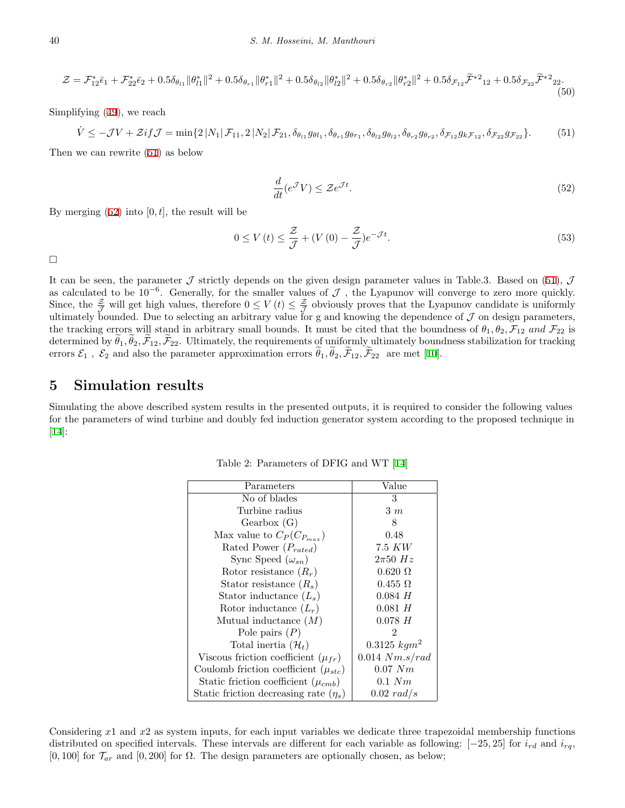$$
\mathcal{Z} = \mathcal{F}_{12}^* \bar{\epsilon}_1 + \mathcal{F}_{22}^* \bar{\epsilon}_2 + 0.5 \delta_{\theta_{11}} \|\theta_{l1}^*\|^2 + 0.5 \delta_{\theta_{r1}} \|\theta_{r1}^*\|^2 + 0.5 \delta_{\theta_{l2}} \|\theta_{l2}^*\|^2 + 0.5 \delta_{\theta_{r2}} \|\theta_{r2}^*\|^2 + 0.5 \delta_{\mathcal{F}_{12}} \tilde{\mathcal{F}}^{*2}_{12} + 0.5 \delta_{\mathcal{F}_{22}} \tilde{\mathcal{F}}^{*2}_{22}.
$$
\n
$$
(50)
$$

<span id="page-9-1"></span>Simplifying ([49\)](#page-8-2), we reach

$$
\dot{V} \leq -\mathcal{J}V + \mathcal{Z}if\mathcal{J} = \min\{2|N_1|\mathcal{F}_{11}, 2|N_2|\mathcal{F}_{21}, \delta_{\theta_{l1}}g_{\theta l_1}, \delta_{\theta_{r1}}g_{\theta r_1}, \delta_{\theta_{l2}}g_{\theta_{l2}}, \delta_{\theta_{r2}}g_{\theta_{r2}}, \delta_{\mathcal{F}_{12}}g_{k\mathcal{F}_{12}}, \delta_{\mathcal{F}_{22}}g_{\mathcal{F}_{22}}\}.
$$
(51)

<span id="page-9-2"></span>Then we can rewrite ([51\)](#page-9-1) as below

$$
\frac{d}{dt}(e^{\mathcal{J}}V) \leq \mathcal{Z}e^{\mathcal{J}t}.\tag{52}
$$

By merging  $(52)$  $(52)$  into  $[0, t]$ , the result will be

$$
0 \le V(t) \le \frac{\mathcal{Z}}{\mathcal{J}} + (V(0) - \frac{\mathcal{Z}}{\mathcal{J}})e^{-\mathcal{J}t}.\tag{53}
$$

 $\Box$ 

It can be seen, the parameter  $\mathcal J$  strictly depends on the given design parameter values in Table.3. Based on ([51\)](#page-9-1),  $\mathcal J$ as calculated to be 10*−*<sup>6</sup> . Generally, for the smaller values of *J* , the Lyapunov will converge to zero more quickly. Since, the  $\frac{z}{z}$  will get high values, therefore  $0 \le V(t) \le \frac{z}{z}$  obviously proves that the Lyapunov candidate is uniformly ultimately bounded. Due to selecting an arbitrary value for g and knowing the dependence of  $J$  on design parameters, the tracking errors will stand in arbitrary small bounds. It must be cited that the boundness of  $\theta_1, \theta_2, \mathcal{F}_{12}$  and  $\mathcal{F}_{22}$  is determined by  $\tilde{\theta}_1, \tilde{\theta}_2, \tilde{\mathcal{F}}_{12}, \tilde{\mathcal{F}}_{22}$ . Ultimately, the requirements of uniformly ultimately boundness stabilization for tracking errors  $\mathcal{E}_1$ ,  $\mathcal{E}_2$  and also the parameter approximation errors  $\tilde{\theta}_1, \tilde{\theta}_2, \tilde{\mathcal{F}}_{12}, \tilde{\mathcal{F}}_{22}$  are met [\[10](#page-13-16)].

#### **5 Simulation results**

<span id="page-9-0"></span>Simulating the above described system results in the presented outputs, it is required to consider the following values for the parameters of wind turbine and doubly fed induction generator system according to the proposed technique in [[14\]](#page-13-17):

| Parameters                                 | Value             |
|--------------------------------------------|-------------------|
| No of blades                               | 3                 |
| Turbine radius                             | $3 \; m$          |
| Gearbox(G)                                 | 8                 |
| Max value to $C_P(C_{P_{max}})$            | 0.48              |
| Rated Power $(P_{rated})$                  | 7.5 KW            |
| Sync Speed $(\omega_{sn})$                 | $2\pi 50$ Hz      |
| Rotor resistance $(R_r)$                   | $0.620 \Omega$    |
| Stator resistance $(R_s)$                  | $0.455 \Omega$    |
| Stator inductance $(L_s)$                  | $0.084$ H         |
| Rotor inductance $(L_r)$                   | $0.081$ H         |
| Mutual inductance $(M)$                    | $0.078$ H         |
| Pole pairs $(P)$                           | 2                 |
| Total inertia $(\mathcal{H}_t)$            | $0.3125 \; kgm^2$ |
| Viscous friction coefficient $(\mu_{fr})$  | 0.014 Nm.s/rad    |
| Coulomb friction coefficient $(\mu_{stc})$ | $0.07\;Nm$        |
| Static friction coefficient $(\mu_{cmb})$  | $0.1\;Nm$         |
| Static friction decreasing rate $(\eta_s)$ | 0.02 rad/s        |

Table 2: Parameters of DFIG and WT [\[14](#page-13-17)]

Considering *x*1 and *x*2 as system inputs, for each input variables we dedicate three trapezoidal membership functions distributed on specified intervals. These intervals are different for each variable as following: [*−*25*,* 25] for *ird* and *irq*,  $[0,100]$  for  $\mathcal{T}_{ar}$  and  $[0,200]$  for  $\Omega$ . The design parameters are optionally chosen, as below;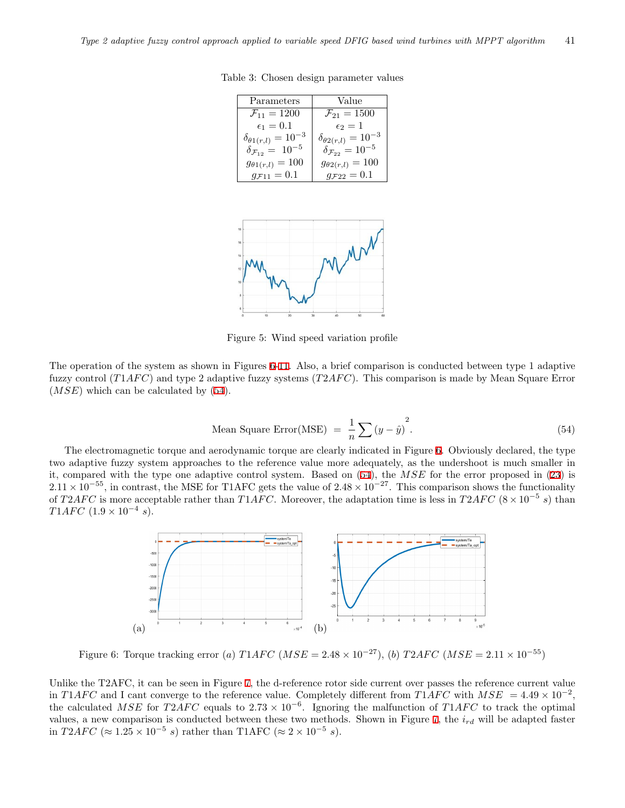| Parameters                            | Value                                 |
|---------------------------------------|---------------------------------------|
| $\mathcal{F}_{11} = 1200$             | $\mathcal{F}_{21} = 1500$             |
| $\epsilon_1=0.1$                      | $\epsilon_2=1$                        |
| $\delta_{\theta 1(r,l)} = 10^{-3}$    | $\delta_{\theta 2(r,l)} = 10^{-3}$    |
| $\delta_{\mathcal{F}_{12}} = 10^{-5}$ | $\delta_{\mathcal{F}_{22}} = 10^{-5}$ |
| $g_{\theta 1(r,l)} = 100$             | $g_{\theta 2(r,l)} = 100$             |
| $g_{F11} = 0.1$                       | $g_{F22} = 0.1$                       |

<span id="page-10-0"></span>Table 3: Chosen design parameter values



Figure 5: Wind speed variation profile

The operation of the system as shown in Figures [6-](#page-10-1)[11.](#page-12-7) Also, a brief comparison is conducted between type 1 adaptive fuzzy control (*T*1*AFC*) and type 2 adaptive fuzzy systems (*T2AFC*). This comparison is made by Mean Square Error (*MSE*) which can be calculated by ([54\)](#page-10-2).

Mean Square Error(MSE) = 
$$
\frac{1}{n} \sum (y - \hat{y})^2
$$
. (54)

<span id="page-10-2"></span>The electromagnetic torque and aerodynamic torque are clearly indicated in Figure [6](#page-10-1). Obviously declared, the type two adaptive fuzzy system approaches to the reference value more adequately, as the undershoot is much smaller in it, compared with the type one adaptive control system. Based on [\(54](#page-10-2)), the *MSE* for the error proposed in [\(23](#page-5-2)) is  $2.11 \times 10^{-55}$ , in contrast, the MSE for T1AFC gets the value of  $2.48 \times 10^{-27}$ . This comparison shows the functionality of *T2AFC* is more acceptable rather than *T1AFC*. Moreover, the adaptation time is less in *T2AFC* ( $8 \times 10^{-5}$  s) than *T*1*AFC* (1.9 × 10<sup>−4</sup> *s*).

<span id="page-10-1"></span>

Figure 6: Torque tracking error (*a*)  $T1AFC (MSE = 2.48 \times 10^{-27})$ , (*b*)  $T2AFC (MSE = 2.11 \times 10^{-55})$ 

Unlike the T2AFC, it can be seen in Figure [7](#page-11-0), the d-reference rotor side current over passes the reference current value in *T*1*AFC* and I cant converge to the reference value. Completely different from *T*1*AFC* with  $MSE = 4.49 \times 10^{-2}$ , the calculated *MSE* for  $T2AFC$  equals to  $2.73 \times 10^{-6}$ . Ignoring the malfunction of  $T1AFC$  to track the optimal values, a new comparison is conducted between these two methods. Shown in Figure [7](#page-11-0), the *ird* will be adapted faster in *T*2*AFC* ( $\approx$  1.25  $\times$  10<sup>−5</sup> *s*) rather than T1AFC ( $\approx$  2  $\times$  10<sup>−5</sup> *s*).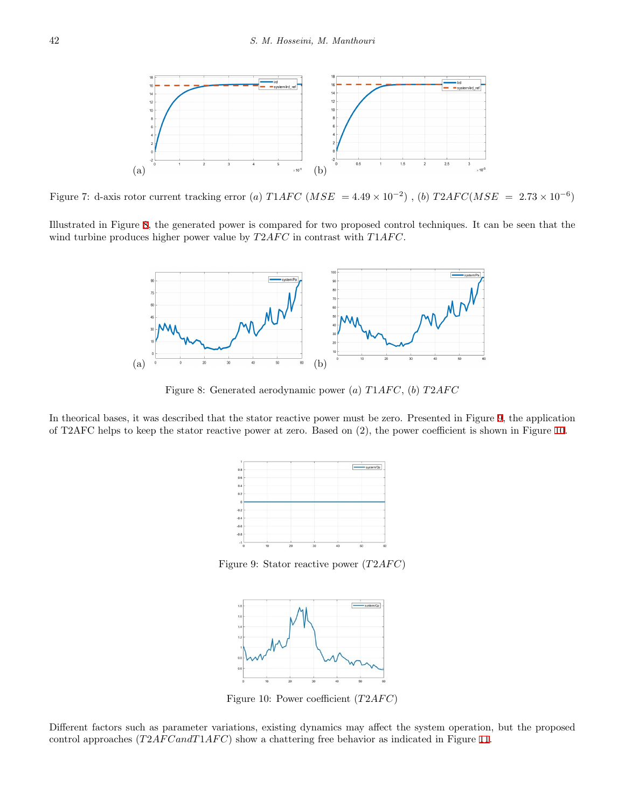<span id="page-11-0"></span>

Figure 7: d-axis rotor current tracking error (*a*)  $T1AFC (MSE = 4.49 \times 10^{-2})$ , (*b*)  $T2AFC(MSE = 2.73 \times 10^{-6})$ 

<span id="page-11-1"></span>Illustrated in Figure [8](#page-11-1), the generated power is compared for two proposed control techniques. It can be seen that the wind turbine produces higher power value by  $T2AFC$  in contrast with  $T1AFC$ .



Figure 8: Generated aerodynamic power (*a*) *T*1*AF C*, (*b*) *T*2*AF C*

<span id="page-11-2"></span>In theorical bases, it was described that the stator reactive power must be zero. Presented in Figure [9,](#page-11-2) the application of T2AFC helps to keep the stator reactive power at zero. Based on (2), the power coefficient is shown in Figure [10.](#page-11-3)



Figure 9: Stator reactive power  $(T2AFC)$ 



Figure 10: Power coefficient (*T2AFC*)

<span id="page-11-3"></span>Different factors such as parameter variations, existing dynamics may affect the system operation, but the proposed control approaches (*T*2*AF CandT*1*AF C*) show a chattering free behavior as indicated in Figure [11.](#page-12-7)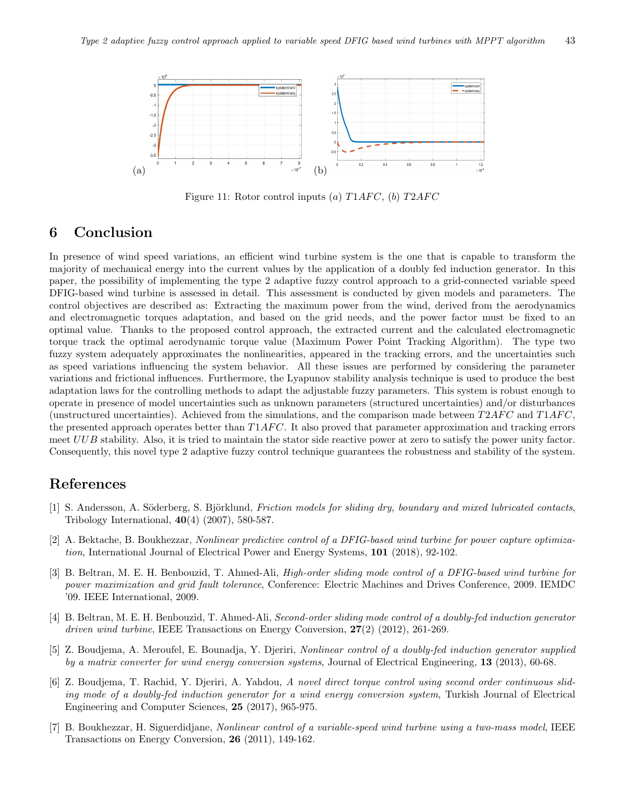<span id="page-12-7"></span>

Figure 11: Rotor control inputs  $(a) T1AFC$ ,  $(b) T2AFC$ 

### **6 Conclusion**

In presence of wind speed variations, an efficient wind turbine system is the one that is capable to transform the majority of mechanical energy into the current values by the application of a doubly fed induction generator. In this paper, the possibility of implementing the type 2 adaptive fuzzy control approach to a grid-connected variable speed DFIG-based wind turbine is assessed in detail. This assessment is conducted by given models and parameters. The control objectives are described as: Extracting the maximum power from the wind, derived from the aerodynamics and electromagnetic torques adaptation, and based on the grid needs, and the power factor must be fixed to an optimal value. Thanks to the proposed control approach, the extracted current and the calculated electromagnetic torque track the optimal aerodynamic torque value (Maximum Power Point Tracking Algorithm). The type two fuzzy system adequately approximates the nonlinearities, appeared in the tracking errors, and the uncertainties such as speed variations influencing the system behavior. All these issues are performed by considering the parameter variations and frictional influences. Furthermore, the Lyapunov stability analysis technique is used to produce the best adaptation laws for the controlling methods to adapt the adjustable fuzzy parameters. This system is robust enough to operate in presence of model uncertainties such as unknown parameters (structured uncertainties) and/or disturbances (unstructured uncertainties). Achieved from the simulations, and the comparison made between *T*2*AF C* and *T*1*AF C*, the presented approach operates better than *T*1*AF C*. It also proved that parameter approximation and tracking errors meet *UUB* stability. Also, it is tried to maintain the stator side reactive power at zero to satisfy the power unity factor. Consequently, this novel type 2 adaptive fuzzy control technique guarantees the robustness and stability of the system.

### **References**

- <span id="page-12-6"></span>[1] S. Andersson, A. Söderberg, S. Björklund, *Friction models for sliding dry, boundary and mixed lubricated contacts*, Tribology International, **40**(4) (2007), 580-587.
- <span id="page-12-4"></span>[2] A. Bektache, B. Boukhezzar, *Nonlinear predictive control of a DFIG-based wind turbine for power capture optimization*, International Journal of Electrical Power and Energy Systems, **101** (2018), 92-102.
- <span id="page-12-1"></span>[3] B. Beltran, M. E. H. Benbouzid, T. Ahmed-Ali, *High-order sliding mode control of a DFIG-based wind turbine for power maximization and grid fault tolerance*, Conference: Electric Machines and Drives Conference, 2009. IEMDC '09. IEEE International, 2009.
- <span id="page-12-2"></span>[4] B. Beltran, M. E. H. Benbouzid, T. Ahmed-Ali, *Second-order sliding mode control of a doubly-fed induction generator driven wind turbine*, IEEE Transactions on Energy Conversion, **27**(2) (2012), 261-269.
- <span id="page-12-3"></span>[5] Z. Boudjema, A. Meroufel, E. Bounadja, Y. Djeriri, *Nonlinear control of a doubly-fed induction generator supplied by a matrix converter for wind energy conversion systems*, Journal of Electrical Engineering, **13** (2013), 60-68.
- <span id="page-12-0"></span>[6] Z. Boudjema, T. Rachid, Y. Djeriri, A. Yahdou, *A novel direct torque control using second order continuous sliding mode of a doubly-fed induction generator for a wind energy conversion system*, Turkish Journal of Electrical Engineering and Computer Sciences, **25** (2017), 965-975.
- <span id="page-12-5"></span>[7] B. Boukhezzar, H. Siguerdidjane, *Nonlinear control of a variable-speed wind turbine using a two-mass model*, IEEE Transactions on Energy Conversion, **26** (2011), 149-162.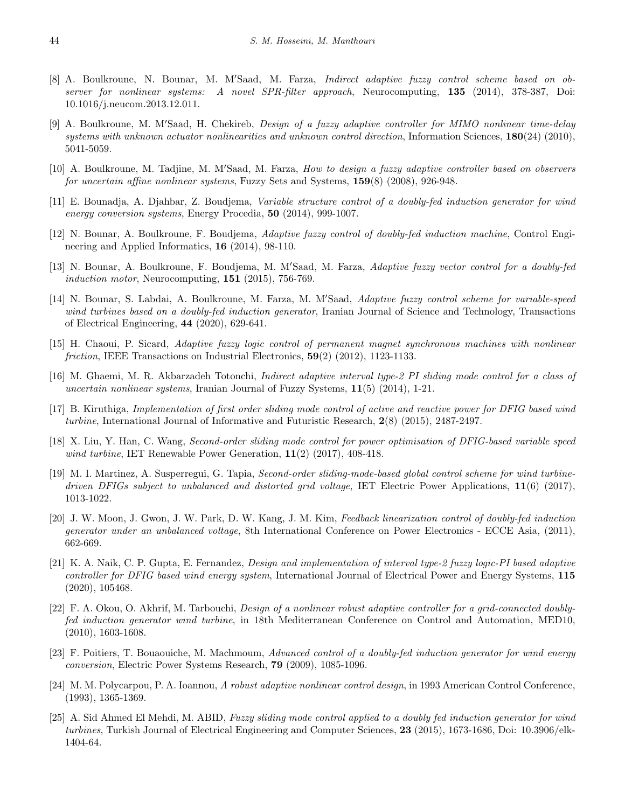- <span id="page-13-5"></span>[8] A. Boulkroune, N. Bounar, M. M*′*Saad, M. Farza, *Indirect adaptive fuzzy control scheme based on observer for nonlinear systems: A novel SPR-filter approach*, Neurocomputing, **135** (2014), 378-387, Doi: 10.1016/j.neucom.2013.12.011.
- <span id="page-13-15"></span>[9] A. Boulkroune, M. M*′*Saad, H. Chekireb, *Design of a fuzzy adaptive controller for MIMO nonlinear time-delay systems with unknown actuator nonlinearities and unknown control direction*, Information Sciences, **180**(24) (2010), 5041-5059.
- <span id="page-13-16"></span>[10] A. Boulkroune, M. Tadjine, M. M*′*Saad, M. Farza, *How to design a fuzzy adaptive controller based on observers for uncertain affine nonlinear systems*, Fuzzy Sets and Systems, **159**(8) (2008), 926-948.
- <span id="page-13-2"></span>[11] E. Bounadja, A. Djahbar, Z. Boudjema, *Variable structure control of a doubly-fed induction generator for wind energy conversion systems*, Energy Procedia, **50** (2014), 999-1007.
- <span id="page-13-13"></span>[12] N. Bounar, A. Boulkroune, F. Boudjema, *Adaptive fuzzy control of doubly-fed induction machine*, Control Engineering and Applied Informatics, **16** (2014), 98-110.
- <span id="page-13-8"></span>[13] N. Bounar, A. Boulkroune, F. Boudjema, M. M*′*Saad, M. Farza, *Adaptive fuzzy vector control for a doubly-fed induction motor*, Neurocomputing, **151** (2015), 756-769.
- <span id="page-13-17"></span>[14] N. Bounar, S. Labdai, A. Boulkroune, M. Farza, M. M*′*Saad, *Adaptive fuzzy control scheme for variable-speed wind turbines based on a doubly-fed induction generator*, Iranian Journal of Science and Technology, Transactions of Electrical Engineering, **44** (2020), 629-641.
- <span id="page-13-7"></span>[15] H. Chaoui, P. Sicard, *Adaptive fuzzy logic control of permanent magnet synchronous machines with nonlinear friction*, IEEE Transactions on Industrial Electronics, **59**(2) (2012), 1123-1133.
- <span id="page-13-14"></span>[16] M. Ghaemi, M. R. Akbarzadeh Totonchi, *Indirect adaptive interval type-2 PI sliding mode control for a class of uncertain nonlinear systems*, Iranian Journal of Fuzzy Systems, **11**(5) (2014), 1-21.
- <span id="page-13-3"></span>[17] B. Kiruthiga, *Implementation of first order sliding mode control of active and reactive power for DFIG based wind turbine*, International Journal of Informative and Futuristic Research, **2**(8) (2015), 2487-2497.
- <span id="page-13-0"></span>[18] X. Liu, Y. Han, C. Wang, *Second-order sliding mode control for power optimisation of DFIG-based variable speed wind turbine*, IET Renewable Power Generation, **11**(2) (2017), 408-418.
- <span id="page-13-1"></span>[19] M. I. Martinez, A. Susperregui, G. Tapia, *Second-order sliding-mode-based global control scheme for wind turbinedriven DFIGs subject to unbalanced and distorted grid voltage*, IET Electric Power Applications, **11**(6) (2017), 1013-1022.
- <span id="page-13-10"></span>[20] J. W. Moon, J. Gwon, J. W. Park, D. W. Kang, J. M. Kim, *Feedback linearization control of doubly-fed induction generator under an unbalanced voltage*, 8th International Conference on Power Electronics - ECCE Asia, (2011), 662-669.
- <span id="page-13-11"></span>[21] K. A. Naik, C. P. Gupta, E. Fernandez, *Design and implementation of interval type-2 fuzzy logic-PI based adaptive controller for DFIG based wind energy system*, International Journal of Electrical Power and Energy Systems, **115** (2020), 105468.
- <span id="page-13-12"></span>[22] F. A. Okou, O. Akhrif, M. Tarbouchi, *Design of a nonlinear robust adaptive controller for a grid-connected doublyfed induction generator wind turbine*, in 18th Mediterranean Conference on Control and Automation, MED10, (2010), 1603-1608.
- <span id="page-13-4"></span>[23] F. Poitiers, T. Bouaouiche, M. Machmoum, *Advanced control of a doubly-fed induction generator for wind energy conversion*, Electric Power Systems Research, **79** (2009), 1085-1096.
- <span id="page-13-9"></span>[24] M. M. Polycarpou, P. A. Ioannou, *A robust adaptive nonlinear control design*, in 1993 American Control Conference, (1993), 1365-1369.
- <span id="page-13-6"></span>[25] A. Sid Ahmed El Mehdi, M. ABID, *Fuzzy sliding mode control applied to a doubly fed induction generator for wind turbines*, Turkish Journal of Electrical Engineering and Computer Sciences, **23** (2015), 1673-1686, Doi: 10.3906/elk-1404-64.